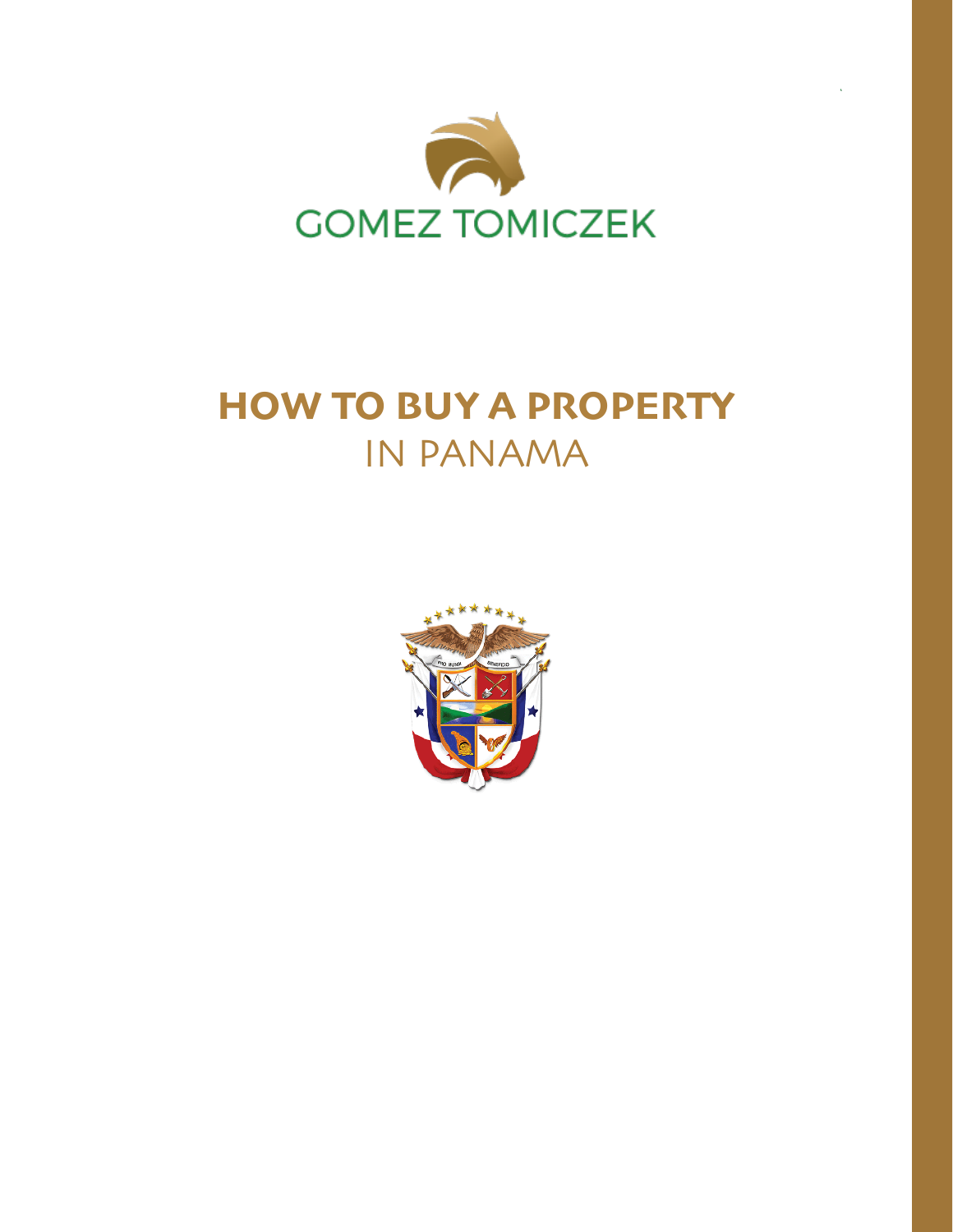

# **HOW TO BUY A PROPERTY**  IN PANAMA

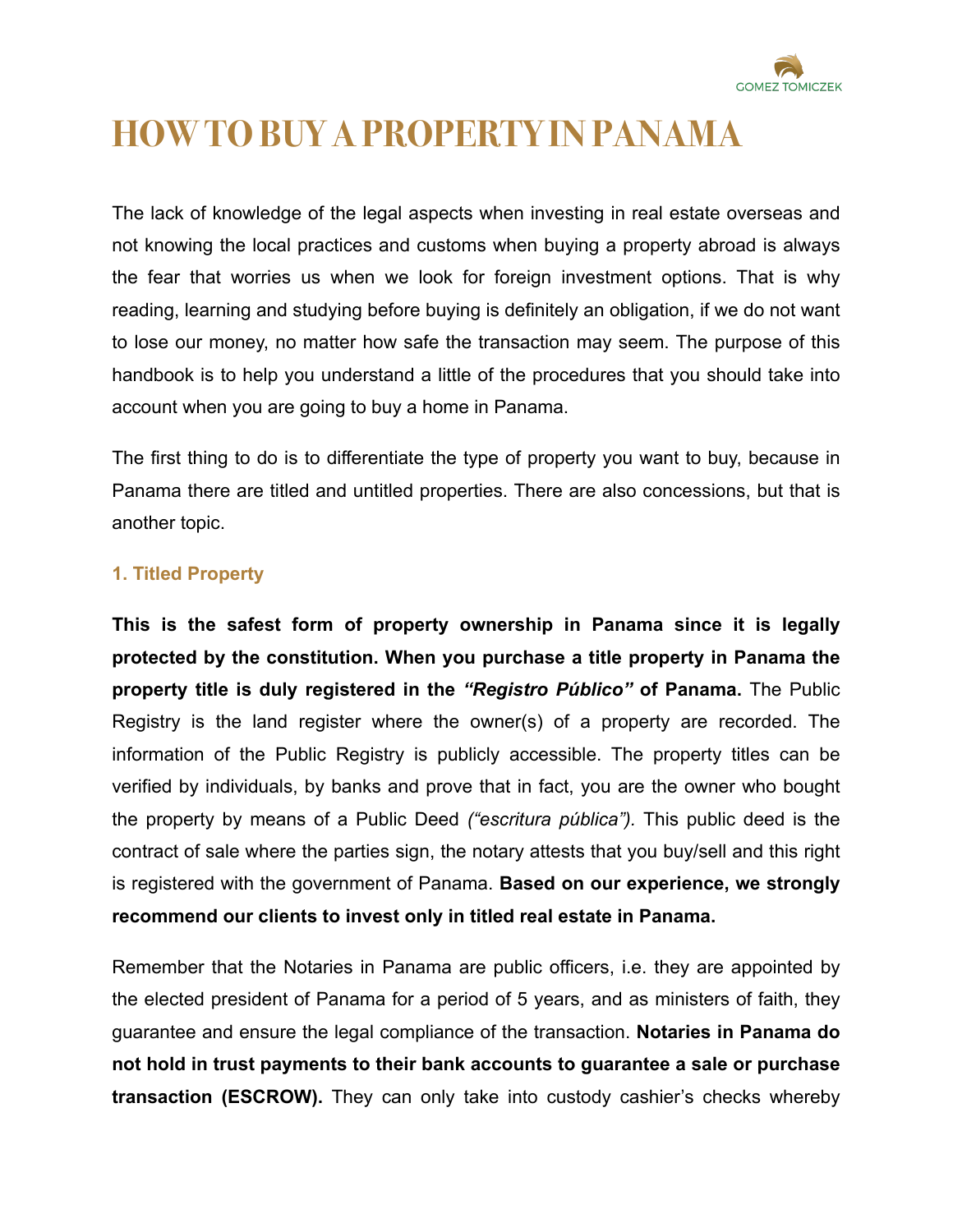

# **HOW TO BUY A PROPERTY IN PANAMA**

The lack of knowledge of the legal aspects when investing in real estate overseas and not knowing the local practices and customs when buying a property abroad is always the fear that worries us when we look for foreign investment options. That is why reading, learning and studying before buying is definitely an obligation, if we do not want to lose our money, no matter how safe the transaction may seem. The purpose of this handbook is to help you understand a little of the procedures that you should take into account when you are going to buy a home in Panama.

The first thing to do is to differentiate the type of property you want to buy, because in Panama there are titled and untitled properties. There are also concessions, but that is another topic.

# **1. Titled Property**

**This is the safest form of property ownership in Panama since it is legally protected by the constitution. When you purchase a title property in Panama the property title is duly registered in the** *"Registro Público"* **of Panama.** The Public Registry is the land register where the owner(s) of a property are recorded. The information of the Public Registry is publicly accessible. The property titles can be verified by individuals, by banks and prove that in fact, you are the owner who bought the property by means of a Public Deed *("escritura pública").* This public deed is the contract of sale where the parties sign, the notary attests that you buy/sell and this right is registered with the government of Panama. **Based on our experience, we strongly recommend our clients to invest only in titled real estate in Panama.**

Remember that the Notaries in Panama are public officers, i.e. they are appointed by the elected president of Panama for a period of 5 years, and as ministers of faith, they guarantee and ensure the legal compliance of the transaction. **Notaries in Panama do not hold in trust payments to their bank accounts to guarantee a sale or purchase transaction (ESCROW).** They can only take into custody cashier's checks whereby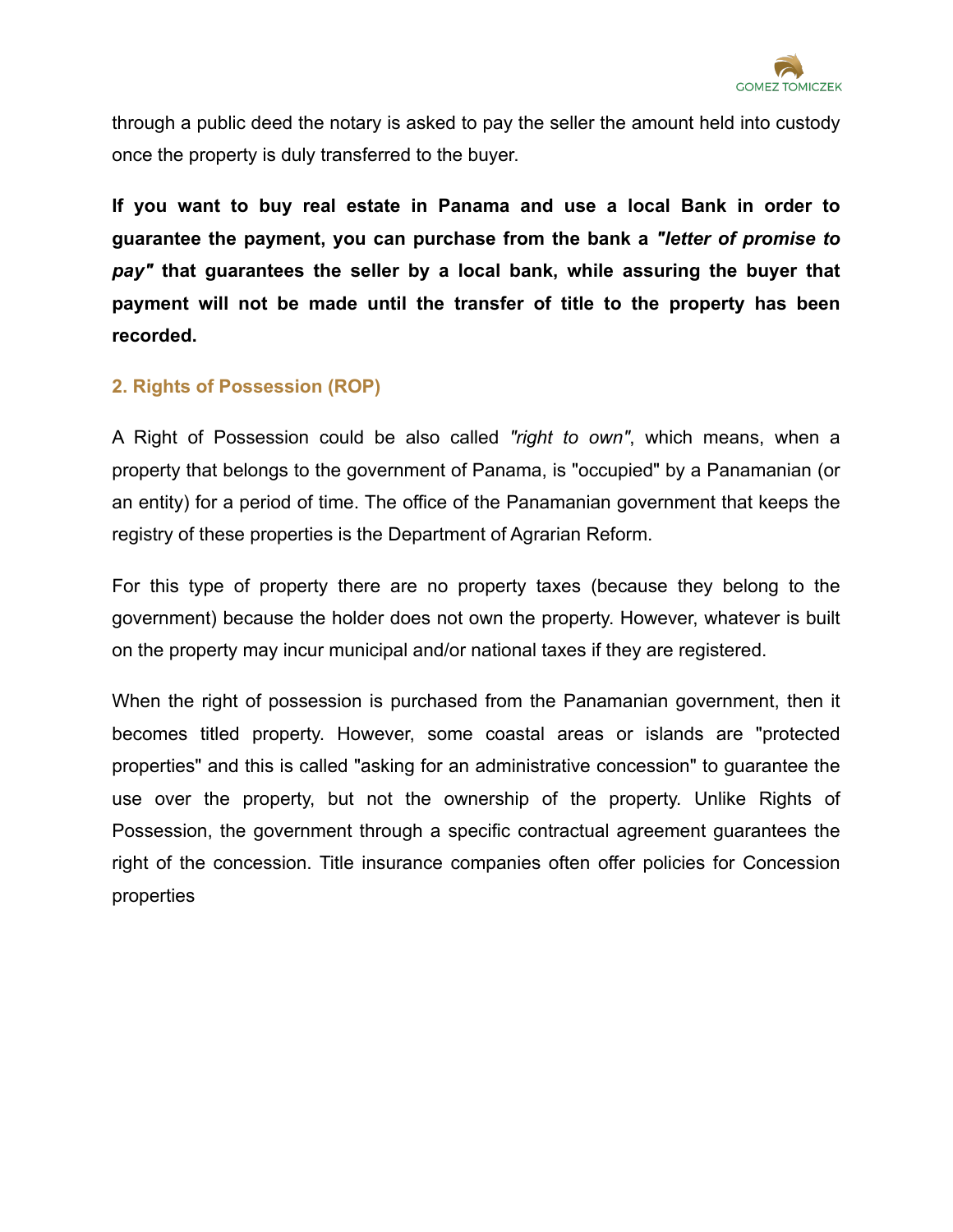

through a public deed the notary is asked to pay the seller the amount held into custody once the property is duly transferred to the buyer.

**If you want to buy real estate in Panama and use a local Bank in order to guarantee the payment, you can purchase from the bank a** *"letter of promise to pay"* **that guarantees the seller by a local bank, while assuring the buyer that payment will not be made until the transfer of title to the property has been recorded.**

# **2. Rights of Possession (ROP)**

A Right of Possession could be also called *"right to own"*, which means, when a property that belongs to the government of Panama, is "occupied" by a Panamanian (or an entity) for a period of time. The office of the Panamanian government that keeps the registry of these properties is the Department of Agrarian Reform.

For this type of property there are no property taxes (because they belong to the government) because the holder does not own the property. However, whatever is built on the property may incur municipal and/or national taxes if they are registered.

When the right of possession is purchased from the Panamanian government, then it becomes titled property. However, some coastal areas or islands are "protected properties" and this is called "asking for an administrative concession" to guarantee the use over the property, but not the ownership of the property. Unlike Rights of Possession, the government through a specific contractual agreement guarantees the right of the concession. Title insurance companies often offer policies for Concession properties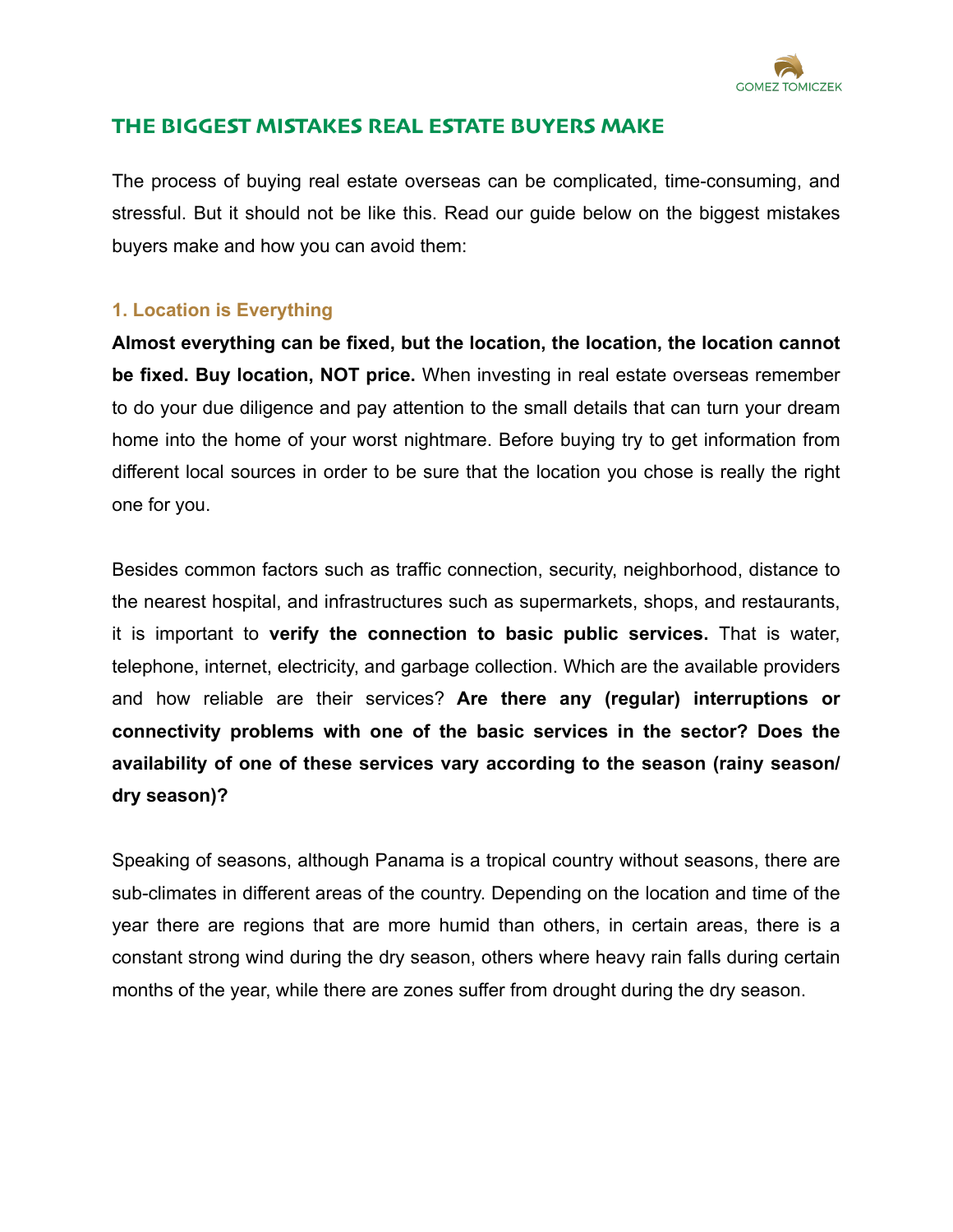

# **THE BIGGEST MISTAKES REAL ESTATE BUYERS MAKE**

The process of buying real estate overseas can be complicated, time-consuming, and stressful. But it should not be like this. Read our guide below on the biggest mistakes buyers make and how you can avoid them:

# **1. Location is Everything**

**Almost everything can be fixed, but the location, the location, the location cannot be fixed. Buy location, NOT price.** When investing in real estate overseas remember to do your due diligence and pay attention to the small details that can turn your dream home into the home of your worst nightmare. Before buying try to get information from different local sources in order to be sure that the location you chose is really the right one for you.

Besides common factors such as traffic connection, security, neighborhood, distance to the nearest hospital, and infrastructures such as supermarkets, shops, and restaurants, it is important to **verify the connection to basic public services.** That is water, telephone, internet, electricity, and garbage collection. Which are the available providers and how reliable are their services? **Are there any (regular) interruptions or connectivity problems with one of the basic services in the sector? Does the availability of one of these services vary according to the season (rainy season/ dry season)?** 

Speaking of seasons, although Panama is a tropical country without seasons, there are sub-climates in different areas of the country. Depending on the location and time of the year there are regions that are more humid than others, in certain areas, there is a constant strong wind during the dry season, others where heavy rain falls during certain months of the year, while there are zones suffer from drought during the dry season.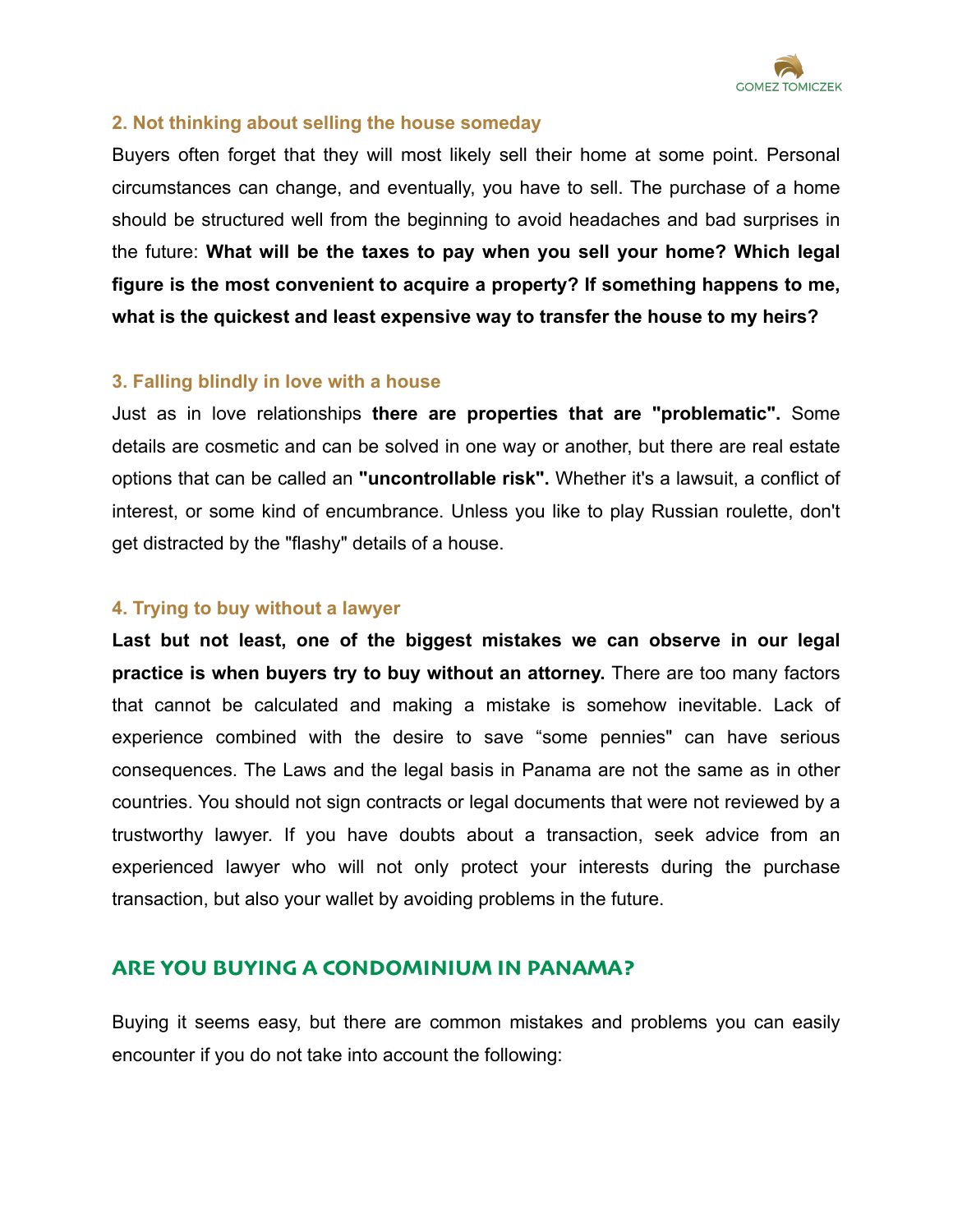

# **2. Not thinking about selling the house someday**

Buyers often forget that they will most likely sell their home at some point. Personal circumstances can change, and eventually, you have to sell. The purchase of a home should be structured well from the beginning to avoid headaches and bad surprises in the future: **What will be the taxes to pay when you sell your home? Which legal figure is the most convenient to acquire a property? If something happens to me, what is the quickest and least expensive way to transfer the house to my heirs?**

# **3. Falling blindly in love with a house**

Just as in love relationships **there are properties that are "problematic".** Some details are cosmetic and can be solved in one way or another, but there are real estate options that can be called an **"uncontrollable risk".** Whether it's a lawsuit, a conflict of interest, or some kind of encumbrance. Unless you like to play Russian roulette, don't get distracted by the "flashy" details of a house.

# **4. Trying to buy without a lawyer**

**Last but not least, one of the biggest mistakes we can observe in our legal practice is when buyers try to buy without an attorney.** There are too many factors that cannot be calculated and making a mistake is somehow inevitable. Lack of experience combined with the desire to save "some pennies" can have serious consequences. The Laws and the legal basis in Panama are not the same as in other countries. You should not sign contracts or legal documents that were not reviewed by a trustworthy lawyer. If you have doubts about a transaction, seek advice from an experienced lawyer who will not only protect your interests during the purchase transaction, but also your wallet by avoiding problems in the future.

# **ARE YOU BUYING A CONDOMINIUM IN PANAMA?**

Buying it seems easy, but there are common mistakes and problems you can easily encounter if you do not take into account the following: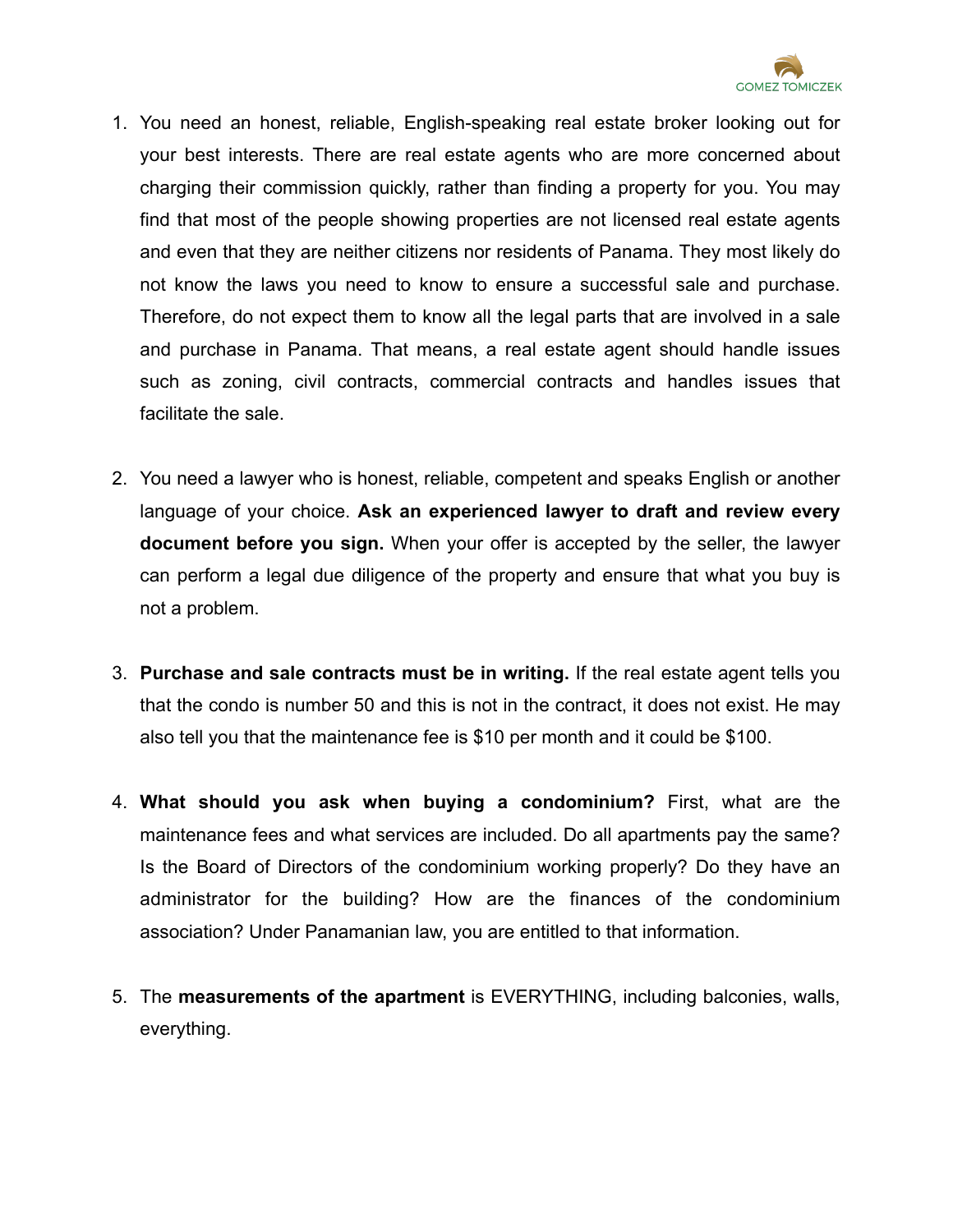

- 1. You need an honest, reliable, English-speaking real estate broker looking out for your best interests. There are real estate agents who are more concerned about charging their commission quickly, rather than finding a property for you. You may find that most of the people showing properties are not licensed real estate agents and even that they are neither citizens nor residents of Panama. They most likely do not know the laws you need to know to ensure a successful sale and purchase. Therefore, do not expect them to know all the legal parts that are involved in a sale and purchase in Panama. That means, a real estate agent should handle issues such as zoning, civil contracts, commercial contracts and handles issues that facilitate the sale.
- 2. You need a lawyer who is honest, reliable, competent and speaks English or another language of your choice. **Ask an experienced lawyer to draft and review every document before you sign.** When your offer is accepted by the seller, the lawyer can perform a legal due diligence of the property and ensure that what you buy is not a problem.
- 3. **Purchase and sale contracts must be in writing.** If the real estate agent tells you that the condo is number 50 and this is not in the contract, it does not exist. He may also tell you that the maintenance fee is \$10 per month and it could be \$100.
- 4. **What should you ask when buying a condominium?** First, what are the maintenance fees and what services are included. Do all apartments pay the same? Is the Board of Directors of the condominium working properly? Do they have an administrator for the building? How are the finances of the condominium association? Under Panamanian law, you are entitled to that information.
- 5. The **measurements of the apartment** is EVERYTHING, including balconies, walls, everything.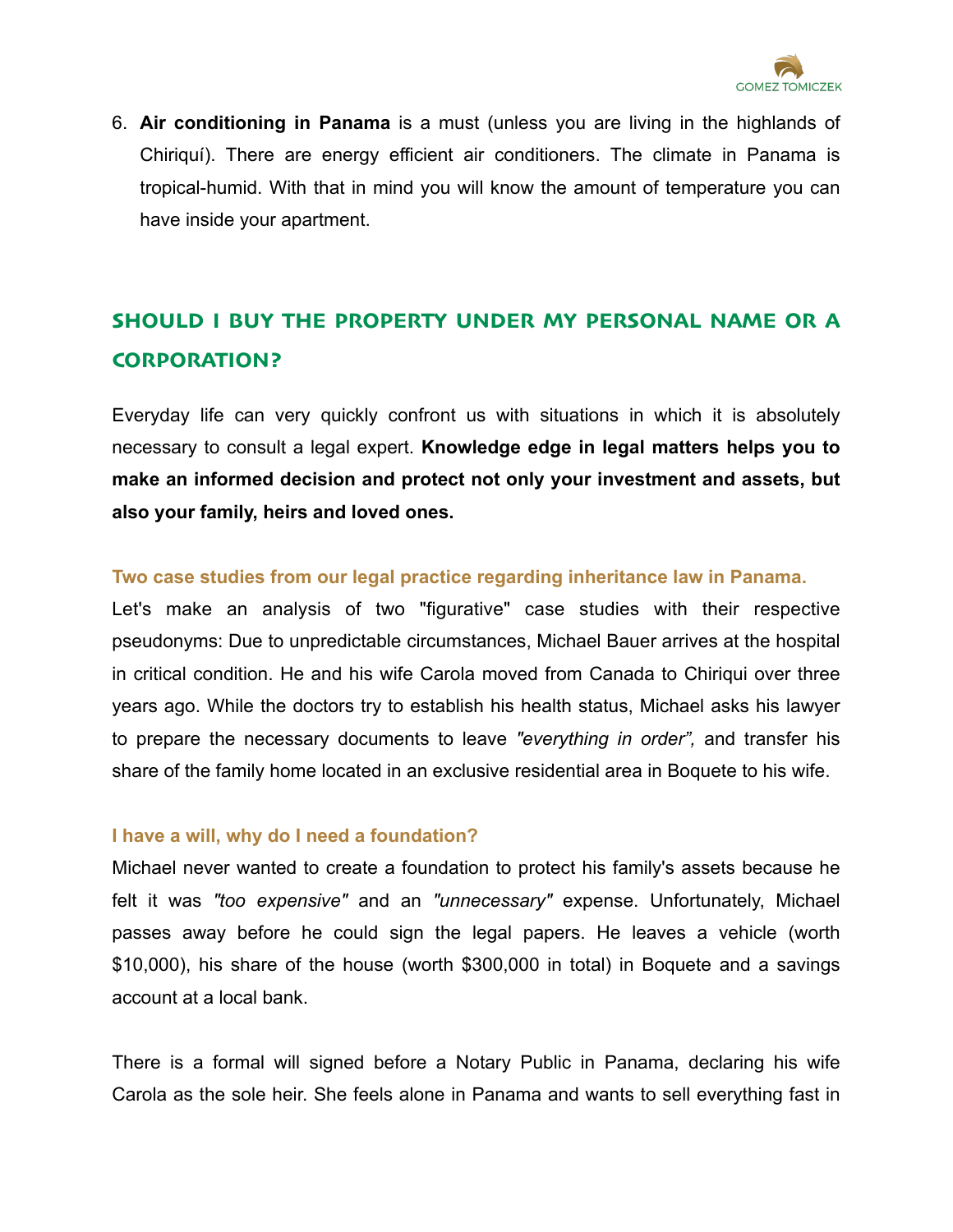

6. **Air conditioning in Panama** is a must (unless you are living in the highlands of Chiriquí). There are energy efficient air conditioners. The climate in Panama is tropical-humid. With that in mind you will know the amount of temperature you can have inside your apartment.

# **SHOULD I BUY THE PROPERTY UNDER MY PERSONAL NAME OR A CORPORATION?**

Everyday life can very quickly confront us with situations in which it is absolutely necessary to consult a legal expert. **Knowledge edge in legal matters helps you to make an informed decision and protect not only your investment and assets, but also your family, heirs and loved ones.** 

# **Two case studies from our legal practice regarding inheritance law in Panama.**

Let's make an analysis of two "figurative" case studies with their respective pseudonyms: Due to unpredictable circumstances, Michael Bauer arrives at the hospital in critical condition. He and his wife Carola moved from Canada to Chiriqui over three years ago. While the doctors try to establish his health status, Michael asks his lawyer to prepare the necessary documents to leave *"everything in order",* and transfer his share of the family home located in an exclusive residential area in Boquete to his wife.

#### **I have a will, why do I need a foundation?**

Michael never wanted to create a foundation to protect his family's assets because he felt it was *"too expensive"* and an *"unnecessary"* expense. Unfortunately, Michael passes away before he could sign the legal papers. He leaves a vehicle (worth \$10,000), his share of the house (worth \$300,000 in total) in Boquete and a savings account at a local bank.

There is a formal will signed before a Notary Public in Panama, declaring his wife Carola as the sole heir. She feels alone in Panama and wants to sell everything fast in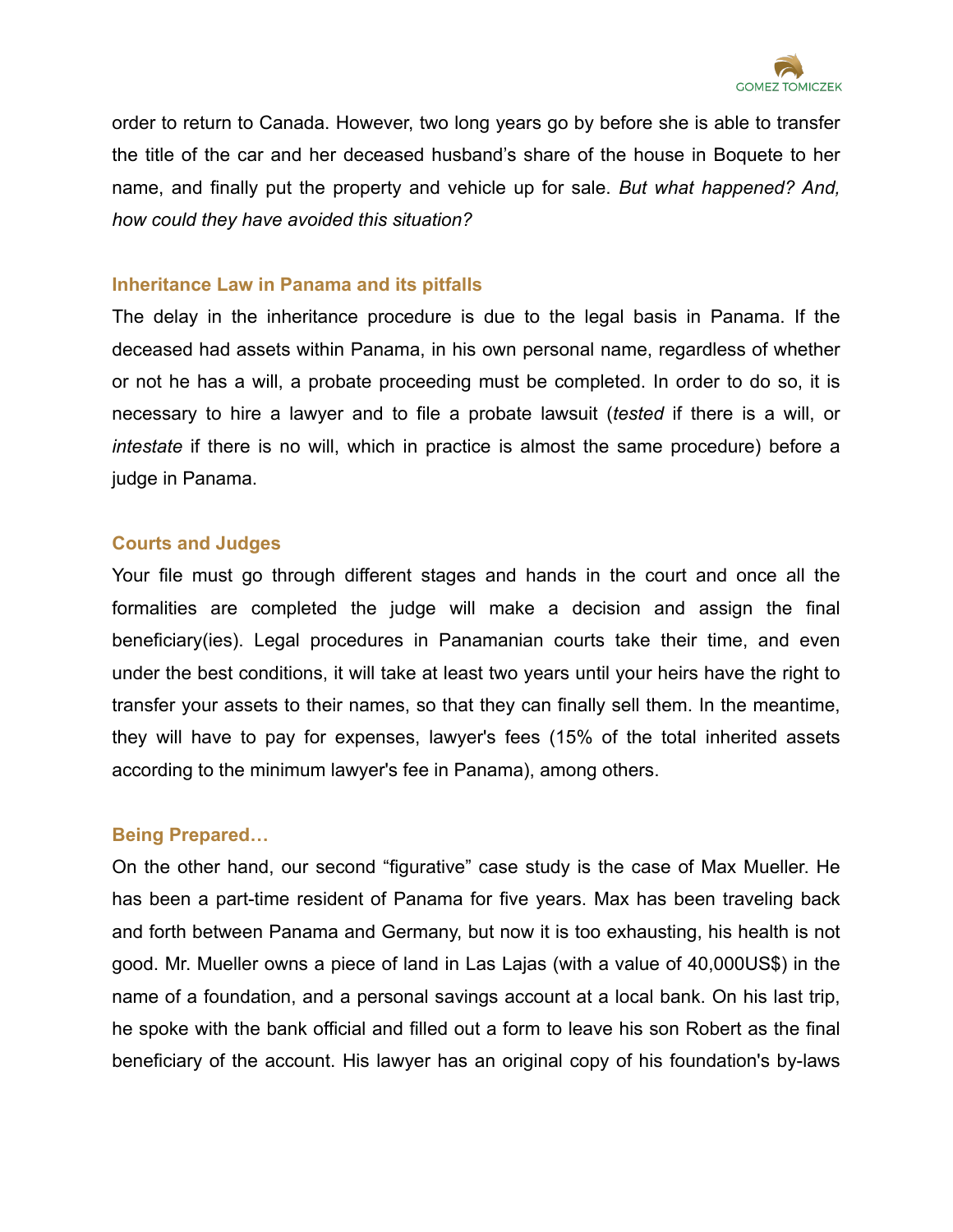

order to return to Canada. However, two long years go by before she is able to transfer the title of the car and her deceased husband's share of the house in Boquete to her name, and finally put the property and vehicle up for sale. *But what happened? And, how could they have avoided this situation?*

#### **Inheritance Law in Panama and its pitfalls**

The delay in the inheritance procedure is due to the legal basis in Panama. If the deceased had assets within Panama, in his own personal name, regardless of whether or not he has a will, a probate proceeding must be completed. In order to do so, it is necessary to hire a lawyer and to file a probate lawsuit (*tested* if there is a will, or *intestate* if there is no will, which in practice is almost the same procedure) before a judge in Panama.

# **Courts and Judges**

Your file must go through different stages and hands in the court and once all the formalities are completed the judge will make a decision and assign the final beneficiary(ies). Legal procedures in Panamanian courts take their time, and even under the best conditions, it will take at least two years until your heirs have the right to transfer your assets to their names, so that they can finally sell them. In the meantime, they will have to pay for expenses, lawyer's fees (15% of the total inherited assets according to the minimum lawyer's fee in Panama), among others.

# **Being Prepared…**

On the other hand, our second "figurative" case study is the case of Max Mueller. He has been a part-time resident of Panama for five years. Max has been traveling back and forth between Panama and Germany, but now it is too exhausting, his health is not good. Mr. Mueller owns a piece of land in Las Lajas (with a value of 40,000US\$) in the name of a foundation, and a personal savings account at a local bank. On his last trip, he spoke with the bank official and filled out a form to leave his son Robert as the final beneficiary of the account. His lawyer has an original copy of his foundation's by-laws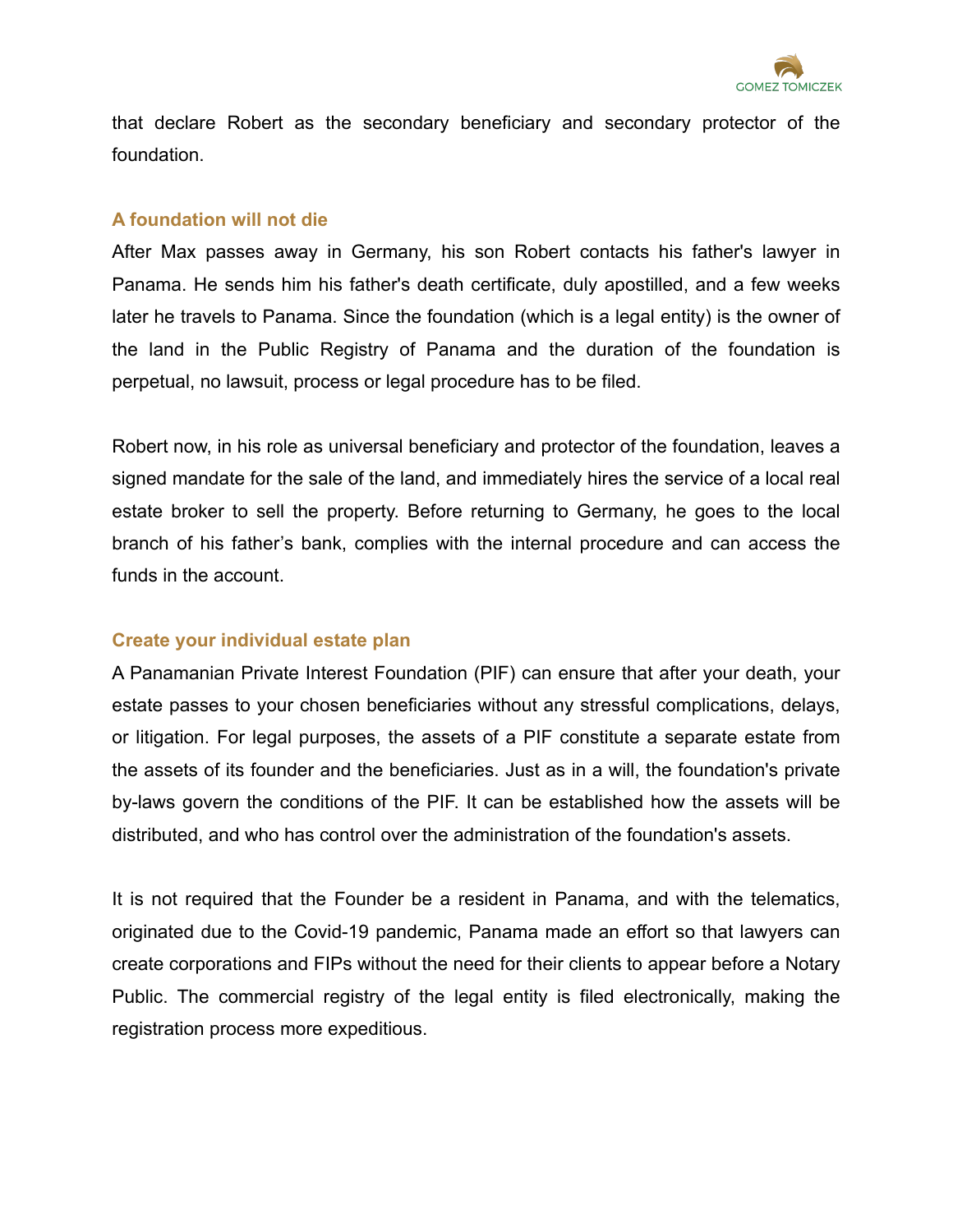

that declare Robert as the secondary beneficiary and secondary protector of the foundation.

## **A foundation will not die**

After Max passes away in Germany, his son Robert contacts his father's lawyer in Panama. He sends him his father's death certificate, duly apostilled, and a few weeks later he travels to Panama. Since the foundation (which is a legal entity) is the owner of the land in the Public Registry of Panama and the duration of the foundation is perpetual, no lawsuit, process or legal procedure has to be filed.

Robert now, in his role as universal beneficiary and protector of the foundation, leaves a signed mandate for the sale of the land, and immediately hires the service of a local real estate broker to sell the property. Before returning to Germany, he goes to the local branch of his father's bank, complies with the internal procedure and can access the funds in the account.

# **Create your individual estate plan**

A Panamanian Private Interest Foundation (PIF) can ensure that after your death, your estate passes to your chosen beneficiaries without any stressful complications, delays, or litigation. For legal purposes, the assets of a PIF constitute a separate estate from the assets of its founder and the beneficiaries. Just as in a will, the foundation's private by-laws govern the conditions of the PIF. It can be established how the assets will be distributed, and who has control over the administration of the foundation's assets.

It is not required that the Founder be a resident in Panama, and with the telematics, originated due to the Covid-19 pandemic, Panama made an effort so that lawyers can create corporations and FIPs without the need for their clients to appear before a Notary Public. The commercial registry of the legal entity is filed electronically, making the registration process more expeditious.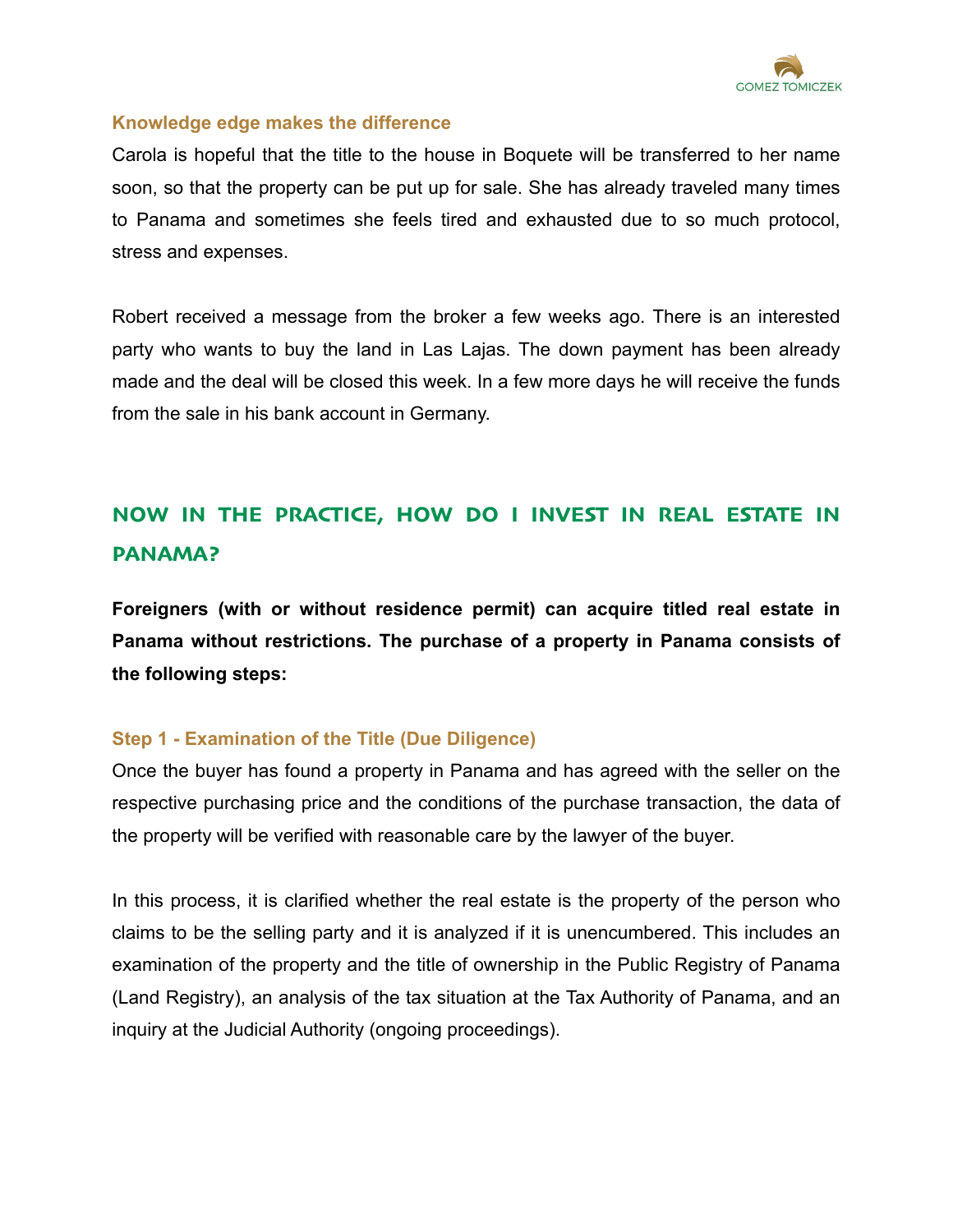

## **Knowledge edge makes the difference**

Carola is hopeful that the title to the house in Boquete will be transferred to her name soon, so that the property can be put up for sale. She has already traveled many times to Panama and sometimes she feels tired and exhausted due to so much protocol, stress and expenses.

Robert received a message from the broker a few weeks ago. There is an interested party who wants to buy the land in Las Lajas. The down payment has been already made and the deal will be closed this week. In a few more days he will receive the funds from the sale in his bank account in Germany.

# **NOW IN THE PRACTICE, HOW DO I INVEST IN REAL ESTATE IN PANAMA?**

**Foreigners (with or without residence permit) can acquire titled real estate in Panama without restrictions. The purchase of a property in Panama consists of the following steps:** 

# **Step 1 - Examination of the Title (Due Diligence)**

Once the buyer has found a property in Panama and has agreed with the seller on the respective purchasing price and the conditions of the purchase transaction, the data of the property will be verified with reasonable care by the lawyer of the buyer.

In this process, it is clarified whether the real estate is the property of the person who claims to be the selling party and it is analyzed if it is unencumbered. This includes an examination of the property and the title of ownership in the Public Registry of Panama (Land Registry), an analysis of the tax situation at the Tax Authority of Panama, and an inquiry at the Judicial Authority (ongoing proceedings).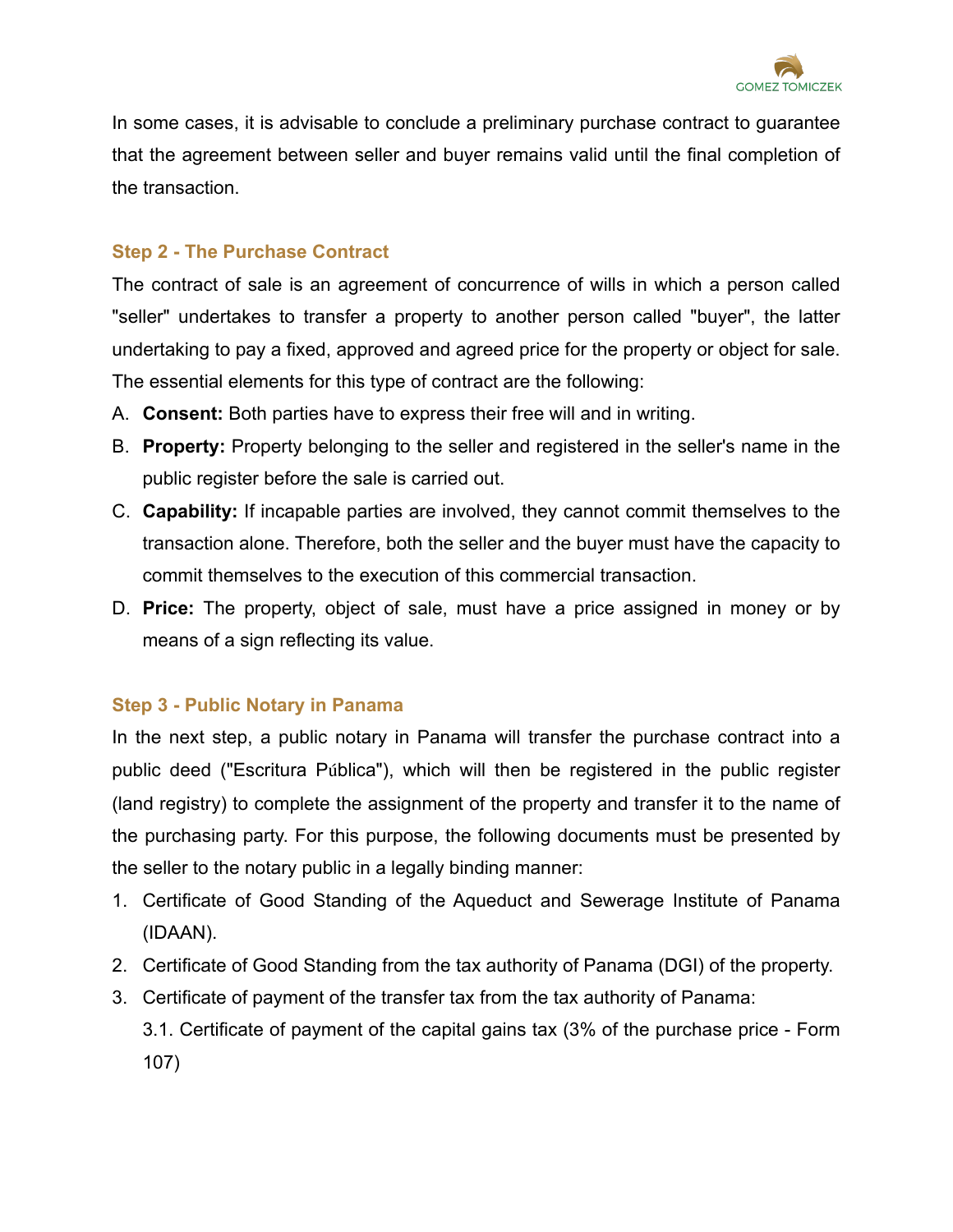

In some cases, it is advisable to conclude a preliminary purchase contract to guarantee that the agreement between seller and buyer remains valid until the final completion of the transaction.

# **Step 2 - The Purchase Contract**

The contract of sale is an agreement of concurrence of wills in which a person called "seller" undertakes to transfer a property to another person called "buyer", the latter undertaking to pay a fixed, approved and agreed price for the property or object for sale. The essential elements for this type of contract are the following:

- A. **Consent:** Both parties have to express their free will and in writing.
- B. **Property:** Property belonging to the seller and registered in the seller's name in the public register before the sale is carried out.
- C. **Capability:** If incapable parties are involved, they cannot commit themselves to the transaction alone. Therefore, both the seller and the buyer must have the capacity to commit themselves to the execution of this commercial transaction.
- D. **Price:** The property, object of sale, must have a price assigned in money or by means of a sign reflecting its value.

# **Step 3 - Public Notary in Panama**

In the next step, a public notary in Panama will transfer the purchase contract into a public deed ("Escritura Pública"), which will then be registered in the public register (land registry) to complete the assignment of the property and transfer it to the name of the purchasing party. For this purpose, the following documents must be presented by the seller to the notary public in a legally binding manner:

- 1. Certificate of Good Standing of the Aqueduct and Sewerage Institute of Panama (IDAAN).
- 2. Certificate of Good Standing from the tax authority of Panama (DGI) of the property.
- 3. Certificate of payment of the transfer tax from the tax authority of Panama:
	- 3.1. Certificate of payment of the capital gains tax (3% of the purchase price Form 107)